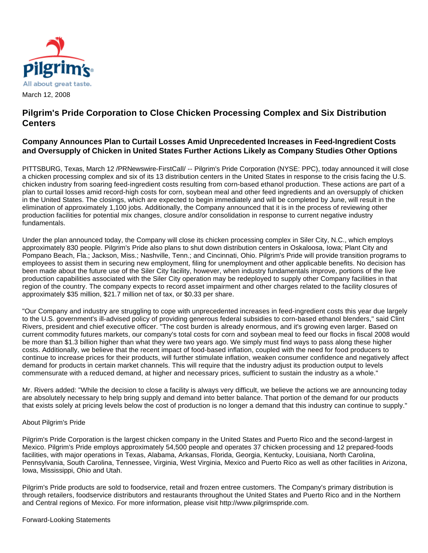

# **Pilgrim's Pride Corporation to Close Chicken Processing Complex and Six Distribution Centers**

## **Company Announces Plan to Curtail Losses Amid Unprecedented Increases in Feed-Ingredient Costs and Oversupply of Chicken in United States Further Actions Likely as Company Studies Other Options**

PITTSBURG, Texas, March 12 /PRNewswire-FirstCall/ -- Pilgrim's Pride Corporation (NYSE: PPC), today announced it will close a chicken processing complex and six of its 13 distribution centers in the United States in response to the crisis facing the U.S. chicken industry from soaring feed-ingredient costs resulting from corn-based ethanol production. These actions are part of a plan to curtail losses amid record-high costs for corn, soybean meal and other feed ingredients and an oversupply of chicken in the United States. The closings, which are expected to begin immediately and will be completed by June, will result in the elimination of approximately 1,100 jobs. Additionally, the Company announced that it is in the process of reviewing other production facilities for potential mix changes, closure and/or consolidation in response to current negative industry fundamentals.

Under the plan announced today, the Company will close its chicken processing complex in Siler City, N.C., which employs approximately 830 people. Pilgrim's Pride also plans to shut down distribution centers in Oskaloosa, Iowa; Plant City and Pompano Beach, Fla.; Jackson, Miss.; Nashville, Tenn.; and Cincinnati, Ohio. Pilgrim's Pride will provide transition programs to employees to assist them in securing new employment, filing for unemployment and other applicable benefits. No decision has been made about the future use of the Siler City facility, however, when industry fundamentals improve, portions of the live production capabilities associated with the Siler City operation may be redeployed to supply other Company facilities in that region of the country. The company expects to record asset impairment and other charges related to the facility closures of approximately \$35 million, \$21.7 million net of tax, or \$0.33 per share.

"Our Company and industry are struggling to cope with unprecedented increases in feed-ingredient costs this year due largely to the U.S. government's ill-advised policy of providing generous federal subsidies to corn-based ethanol blenders," said Clint Rivers, president and chief executive officer. "The cost burden is already enormous, and it's growing even larger. Based on current commodity futures markets, our company's total costs for corn and soybean meal to feed our flocks in fiscal 2008 would be more than \$1.3 billion higher than what they were two years ago. We simply must find ways to pass along these higher costs. Additionally, we believe that the recent impact of food-based inflation, coupled with the need for food producers to continue to increase prices for their products, will further stimulate inflation, weaken consumer confidence and negatively affect demand for products in certain market channels. This will require that the industry adjust its production output to levels commensurate with a reduced demand, at higher and necessary prices, sufficient to sustain the industry as a whole."

Mr. Rivers added: "While the decision to close a facility is always very difficult, we believe the actions we are announcing today are absolutely necessary to help bring supply and demand into better balance. That portion of the demand for our products that exists solely at pricing levels below the cost of production is no longer a demand that this industry can continue to supply."

### About Pilgrim's Pride

Pilgrim's Pride Corporation is the largest chicken company in the United States and Puerto Rico and the second-largest in Mexico. Pilgrim's Pride employs approximately 54,500 people and operates 37 chicken processing and 12 prepared-foods facilities, with major operations in Texas, Alabama, Arkansas, Florida, Georgia, Kentucky, Louisiana, North Carolina, Pennsylvania, South Carolina, Tennessee, Virginia, West Virginia, Mexico and Puerto Rico as well as other facilities in Arizona, Iowa, Mississippi, Ohio and Utah.

Pilgrim's Pride products are sold to foodservice, retail and frozen entree customers. The Company's primary distribution is through retailers, foodservice distributors and restaurants throughout the United States and Puerto Rico and in the Northern and Central regions of Mexico. For more information, please visit http://www.pilgrimspride.com.

### Forward-Looking Statements